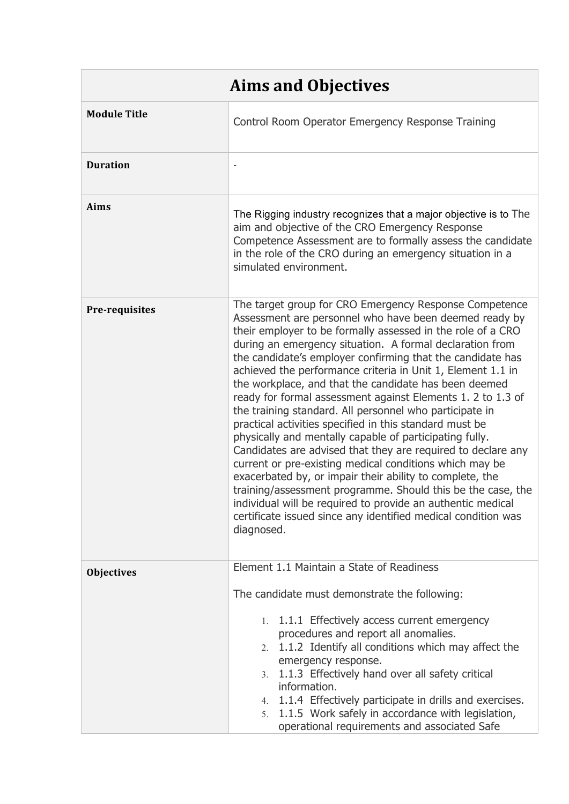| <b>Aims and Objectives</b> |                                                                                                                                                                                                                                                                                                                                                                                                                                                                                                                                                                                                                                                                                                                                                                                                                                                                                                                                                                                                                                                                                       |  |
|----------------------------|---------------------------------------------------------------------------------------------------------------------------------------------------------------------------------------------------------------------------------------------------------------------------------------------------------------------------------------------------------------------------------------------------------------------------------------------------------------------------------------------------------------------------------------------------------------------------------------------------------------------------------------------------------------------------------------------------------------------------------------------------------------------------------------------------------------------------------------------------------------------------------------------------------------------------------------------------------------------------------------------------------------------------------------------------------------------------------------|--|
| <b>Module Title</b>        | Control Room Operator Emergency Response Training                                                                                                                                                                                                                                                                                                                                                                                                                                                                                                                                                                                                                                                                                                                                                                                                                                                                                                                                                                                                                                     |  |
| <b>Duration</b>            |                                                                                                                                                                                                                                                                                                                                                                                                                                                                                                                                                                                                                                                                                                                                                                                                                                                                                                                                                                                                                                                                                       |  |
| Aims                       | The Rigging industry recognizes that a major objective is to The<br>aim and objective of the CRO Emergency Response<br>Competence Assessment are to formally assess the candidate<br>in the role of the CRO during an emergency situation in a<br>simulated environment.                                                                                                                                                                                                                                                                                                                                                                                                                                                                                                                                                                                                                                                                                                                                                                                                              |  |
| Pre-requisites             | The target group for CRO Emergency Response Competence<br>Assessment are personnel who have been deemed ready by<br>their employer to be formally assessed in the role of a CRO<br>during an emergency situation. A formal declaration from<br>the candidate's employer confirming that the candidate has<br>achieved the performance criteria in Unit 1, Element 1.1 in<br>the workplace, and that the candidate has been deemed<br>ready for formal assessment against Elements 1. 2 to 1.3 of<br>the training standard. All personnel who participate in<br>practical activities specified in this standard must be<br>physically and mentally capable of participating fully.<br>Candidates are advised that they are required to declare any<br>current or pre-existing medical conditions which may be<br>exacerbated by, or impair their ability to complete, the<br>training/assessment programme. Should this be the case, the<br>individual will be required to provide an authentic medical<br>certificate issued since any identified medical condition was<br>diagnosed. |  |
| <b>Objectives</b>          | Element 1.1 Maintain a State of Readiness<br>The candidate must demonstrate the following:<br>1.1.1 Effectively access current emergency<br>$1_{-}$<br>procedures and report all anomalies.<br>2. 1.1.2 Identify all conditions which may affect the<br>emergency response.<br>1.1.3 Effectively hand over all safety critical<br>3.<br>information.<br>4. 1.1.4 Effectively participate in drills and exercises.<br>1.1.5 Work safely in accordance with legislation,<br>5.<br>operational requirements and associated Safe                                                                                                                                                                                                                                                                                                                                                                                                                                                                                                                                                          |  |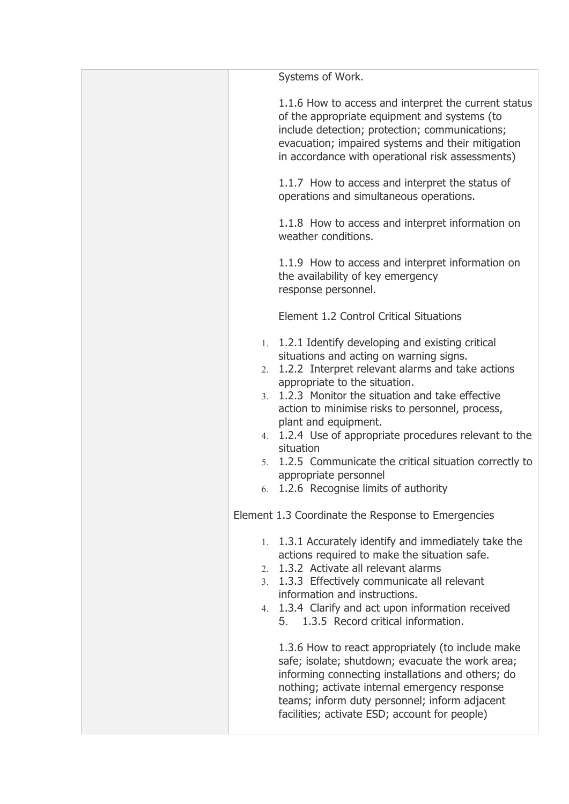|  | Systems of Work.                                                                                                                                                                                                                                                                                                                                                                                                                                                                                                                                                                                                                                                                                       |
|--|--------------------------------------------------------------------------------------------------------------------------------------------------------------------------------------------------------------------------------------------------------------------------------------------------------------------------------------------------------------------------------------------------------------------------------------------------------------------------------------------------------------------------------------------------------------------------------------------------------------------------------------------------------------------------------------------------------|
|  | 1.1.6 How to access and interpret the current status<br>of the appropriate equipment and systems (to<br>include detection; protection; communications;<br>evacuation; impaired systems and their mitigation<br>in accordance with operational risk assessments)                                                                                                                                                                                                                                                                                                                                                                                                                                        |
|  | 1.1.7 How to access and interpret the status of<br>operations and simultaneous operations.                                                                                                                                                                                                                                                                                                                                                                                                                                                                                                                                                                                                             |
|  | 1.1.8 How to access and interpret information on<br>weather conditions.                                                                                                                                                                                                                                                                                                                                                                                                                                                                                                                                                                                                                                |
|  | 1.1.9 How to access and interpret information on<br>the availability of key emergency<br>response personnel.                                                                                                                                                                                                                                                                                                                                                                                                                                                                                                                                                                                           |
|  | Element 1.2 Control Critical Situations                                                                                                                                                                                                                                                                                                                                                                                                                                                                                                                                                                                                                                                                |
|  | 1. 1.2.1 Identify developing and existing critical<br>situations and acting on warning signs.<br>2. 1.2.2 Interpret relevant alarms and take actions<br>appropriate to the situation.<br>3. 1.2.3 Monitor the situation and take effective<br>action to minimise risks to personnel, process,<br>plant and equipment.<br>4. 1.2.4 Use of appropriate procedures relevant to the<br>situation<br>5. 1.2.5 Communicate the critical situation correctly to<br>appropriate personnel<br>6. 1.2.6 Recognise limits of authority                                                                                                                                                                            |
|  | Element 1.3 Coordinate the Response to Emergencies<br>1. 1.3.1 Accurately identify and immediately take the<br>actions required to make the situation safe.<br>2. 1.3.2 Activate all relevant alarms<br>3. 1.3.3 Effectively communicate all relevant<br>information and instructions.<br>4. 1.3.4 Clarify and act upon information received<br>5. 1.3.5 Record critical information.<br>1.3.6 How to react appropriately (to include make<br>safe; isolate; shutdown; evacuate the work area;<br>informing connecting installations and others; do<br>nothing; activate internal emergency response<br>teams; inform duty personnel; inform adjacent<br>facilities; activate ESD; account for people) |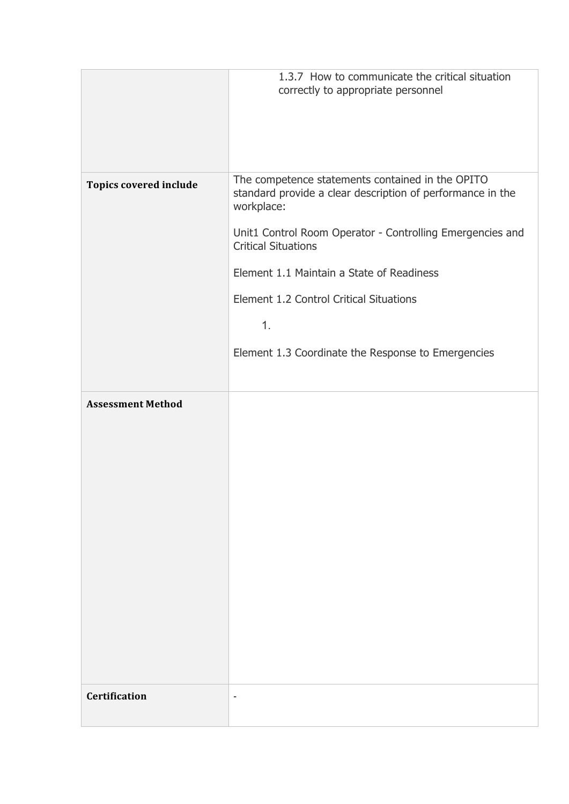|                               | 1.3.7 How to communicate the critical situation                                                                              |  |
|-------------------------------|------------------------------------------------------------------------------------------------------------------------------|--|
|                               | correctly to appropriate personnel                                                                                           |  |
|                               |                                                                                                                              |  |
|                               |                                                                                                                              |  |
|                               |                                                                                                                              |  |
|                               |                                                                                                                              |  |
| <b>Topics covered include</b> | The competence statements contained in the OPITO<br>standard provide a clear description of performance in the<br>workplace: |  |
|                               | Unit1 Control Room Operator - Controlling Emergencies and<br><b>Critical Situations</b>                                      |  |
|                               | Element 1.1 Maintain a State of Readiness                                                                                    |  |
|                               | Element 1.2 Control Critical Situations                                                                                      |  |
|                               | 1.                                                                                                                           |  |
|                               | Element 1.3 Coordinate the Response to Emergencies                                                                           |  |
|                               |                                                                                                                              |  |
|                               |                                                                                                                              |  |
| <b>Assessment Method</b>      |                                                                                                                              |  |
|                               |                                                                                                                              |  |
|                               |                                                                                                                              |  |
|                               |                                                                                                                              |  |
|                               |                                                                                                                              |  |
|                               |                                                                                                                              |  |
|                               |                                                                                                                              |  |
|                               |                                                                                                                              |  |
|                               |                                                                                                                              |  |
|                               |                                                                                                                              |  |
|                               |                                                                                                                              |  |
|                               |                                                                                                                              |  |
|                               |                                                                                                                              |  |
|                               |                                                                                                                              |  |
|                               |                                                                                                                              |  |
|                               |                                                                                                                              |  |
| <b>Certification</b>          | ٠                                                                                                                            |  |
|                               |                                                                                                                              |  |